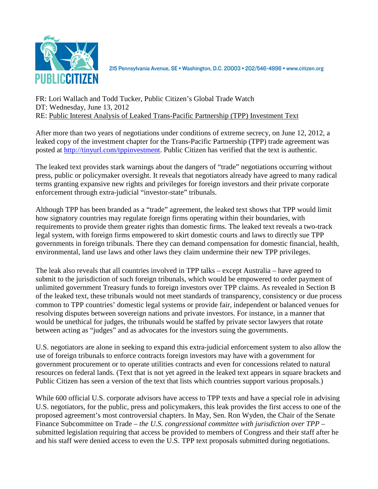

215 Pennsylvania Avenue, SE · Washington, D.C. 20003 · 202/546-4996 · www.citizen.org

## FR: Lori Wallach and Todd Tucker, Public Citizen's Global Trade Watch DT: Wednesday, June 13, 2012 RE: Public Interest Analysis of Leaked Trans-Pacific Partnership (TPP) Investment Text

After more than two years of negotiations under conditions of extreme secrecy, on June 12, 2012, a leaked copy of the investment chapter for the Trans-Pacific Partnership (TPP) trade agreement was posted at http://tinyurl.com/tppinvestment. Public Citizen has verified that the text is authentic.

The leaked text provides stark warnings about the dangers of "trade" negotiations occurring without press, public or policymaker oversight. It reveals that negotiators already have agreed to many radical terms granting expansive new rights and privileges for foreign investors and their private corporate enforcement through extra-judicial "investor-state" tribunals.

Although TPP has been branded as a "trade" agreement, the leaked text shows that TPP would limit how signatory countries may regulate foreign firms operating within their boundaries, with requirements to provide them greater rights than domestic firms. The leaked text reveals a two-track legal system, with foreign firms empowered to skirt domestic courts and laws to directly sue TPP governments in foreign tribunals. There they can demand compensation for domestic financial, health, environmental, land use laws and other laws they claim undermine their new TPP privileges.

The leak also reveals that all countries involved in TPP talks – except Australia – have agreed to submit to the jurisdiction of such foreign tribunals, which would be empowered to order payment of unlimited government Treasury funds to foreign investors over TPP claims. As revealed in Section B of the leaked text, these tribunals would not meet standards of transparency, consistency or due process common to TPP countries' domestic legal systems or provide fair, independent or balanced venues for resolving disputes between sovereign nations and private investors. For instance, in a manner that would be unethical for judges, the tribunals would be staffed by private sector lawyers that rotate between acting as "judges" and as advocates for the investors suing the governments.

U.S. negotiators are alone in seeking to expand this extra-judicial enforcement system to also allow the use of foreign tribunals to enforce contracts foreign investors may have with a government for government procurement or to operate utilities contracts and even for concessions related to natural resources on federal lands. (Text that is not yet agreed in the leaked text appears in square brackets and Public Citizen has seen a version of the text that lists which countries support various proposals.)

While 600 official U.S. corporate advisors have access to TPP texts and have a special role in advising U.S. negotiators, for the public, press and policymakers, this leak provides the first access to one of the proposed agreement's most controversial chapters. In May, Sen. Ron Wyden, the Chair of the Senate Finance Subcommittee on Trade – *the U.S. congressional committee with jurisdiction over TPP* – submitted legislation requiring that access be provided to members of Congress and their staff after he and his staff were denied access to even the U.S. TPP text proposals submitted during negotiations.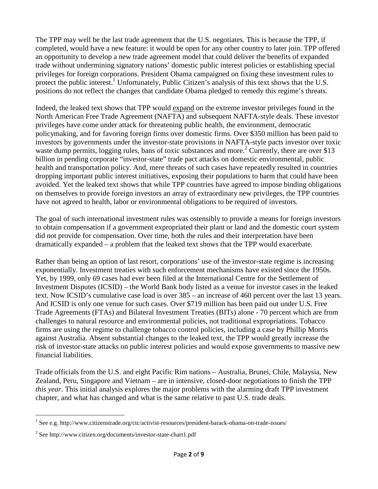The TPP may well be the last trade agreement that the U.S. negotiates. This is because the TPP, if completed, would have a new feature: it would be open for any other country to later join. TPP offered an opportunity to develop a new trade agreement model that could deliver the benefits of expanded trade without undermining signatory nations' domestic public interest policies or establishing special privileges for foreign corporations. President Obama campaigned on fixing these investment rules to protect the public interest.<sup>1</sup> Unfortunately, Public Citizen's analysis of this text shows that the U.S. positions do not reflect the changes that candidate Obama pledged to remedy this regime's threats.

Indeed, the leaked text shows that TPP would expand on the extreme investor privileges found in the North American Free Trade Agreement (NAFTA) and subsequent NAFTA-style deals. These investor privileges have come under attack for threatening public health, the environment, democratic policymaking, and for favoring foreign firms over domestic firms. Over \$350 million has been paid to investors by governments under the investor-state provisions in NAFTA-style pacts investor over toxic waste dump permits, logging rules, bans of toxic substances and more.<sup>2</sup> Currently, there are over \$13 billion in pending corporate "investor-state" trade pact attacks on domestic environmental, public health and transportation policy. And, mere threats of such cases have repeatedly resulted in countries dropping important public interest initiatives, exposing their populations to harm that could have been avoided. Yet the leaked text shows that while TPP countries have agreed to impose binding obligations on themselves to provide foreign investors an array of extraordinary new privileges, the TPP countries have not agreed to health, labor or environmental obligations to be required of investors.

The goal of such international investment rules was ostensibly to provide a means for foreign investors to obtain compensation if a government expropriated their plant or land and the domestic court system did not provide for compensation. Over time, both the rules and their interpretation have been dramatically expanded – a problem that the leaked text shows that the TPP would exacerbate.

Rather than being an option of last resort, corporations' use of the investor-state regime is increasing exponentially. Investment treaties with such enforcement mechanisms have existed since the 1950s. Yet, by 1999, only 69 cases had ever been filed at the International Centre for the Settlement of Investment Disputes (ICSID) – the World Bank body listed as a venue for investor cases in the leaked text. Now ICSID's cumulative case load is over 385 – an increase of 460 percent over the last 13 years. And ICSID is only one venue for such cases. Over \$719 million has been paid out under U.S. Free Trade Agreements (FTAs) and Bilateral Investment Treaties (BITs) alone - 70 percent which are from challenges to natural resource and environmental policies, not traditional expropriations. Tobacco firms are using the regime to challenge tobacco control policies, including a case by Phillip Morris against Australia. Absent substantial changes to the leaked text, the TPP would greatly increase the risk of investor-state attacks on public interest policies and would expose governments to massive new financial liabilities.

Trade officials from the U.S. and eight Pacific Rim nations – Australia, Brunei, Chile, Malaysia, New Zealand, Peru, Singapore and Vietnam – are in intensive, closed-door negotiations to finish the TPP *this year*. This initial analysis explores the major problems with the alarming draft TPP investment chapter, and what has changed and what is the same relative to past U.S. trade deals.

<sup>&</sup>lt;sup>1</sup> See e.g. http://www.citizenstrade.org/ctc/activist-resources/president-barack-obama-on-trade-issues/

<sup>&</sup>lt;sup>2</sup> See http://www.citizen.org/documents/investor-state-chart1.pdf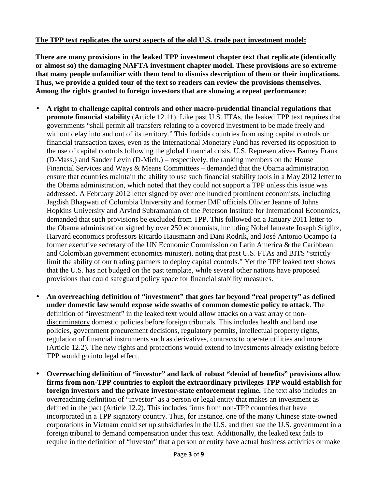## **The TPP text replicates the worst aspects of the old U.S. trade pact investment model:**

**There are many provisions in the leaked TPP investment chapter text that replicate (identically or almost so) the damaging NAFTA investment chapter model. These provisions are so extreme that many people unfamiliar with them tend to dismiss description of them or their implications. Thus, we provide a guided tour of the text so readers can review the provisions themselves. Among the rights granted to foreign investors that are showing a repeat performance**:

- **A right to challenge capital controls and other macro-prudential financial regulations that promote financial stability** (Article 12.11). Like past U.S. FTAs, the leaked TPP text requires that governments "shall permit all transfers relating to a covered investment to be made freely and without delay into and out of its territory." This forbids countries from using capital controls or financial transaction taxes, even as the International Monetary Fund has reversed its opposition to the use of capital controls following the global financial crisis. U.S. Representatives Barney Frank (D-Mass.) and Sander Levin (D-Mich.) – respectively, the ranking members on the House Financial Services and Ways & Means Committees – demanded that the Obama administration ensure that countries maintain the ability to use such financial stability tools in a May 2012 letter to the Obama administration, which noted that they could not support a TPP unless this issue was addressed. A February 2012 letter signed by over one hundred prominent economists, including Jagdish Bhagwati of Columbia University and former IMF officials Olivier Jeanne of Johns Hopkins University and Arvind Subramanian of the Peterson Institute for International Economics, demanded that such provisions be excluded from TPP. This followed on a January 2011 letter to the Obama administration signed by over 250 economists, including Nobel laureate Joseph Stiglitz, Harvard economics professors Ricardo Hausmann and Dani Rodrik, and José Antonio Ocampo (a former executive secretary of the UN Economic Commission on Latin America & the Caribbean and Colombian government economics minister), noting that past U.S. FTAs and BITS "strictly limit the ability of our trading partners to deploy capital controls." Yet the TPP leaked text shows that the U.S. has not budged on the past template, while several other nations have proposed provisions that could safeguard policy space for financial stability measures.
- **An overreaching definition of "investment" that goes far beyond "real property" as defined under domestic law would expose wide swaths of common domestic policy to attack**. The definition of "investment" in the leaked text would allow attacks on a vast array of nondiscriminatory domestic policies before foreign tribunals. This includes health and land use policies, government procurement decisions, regulatory permits, intellectual property rights, regulation of financial instruments such as derivatives, contracts to operate utilities and more (Article 12.2). The new rights and protections would extend to investments already existing before TPP would go into legal effect.
- **Overreaching definition of "investor" and lack of robust "denial of benefits" provisions allow firms from non-TPP countries to exploit the extraordinary privileges TPP would establish for foreign investors and the private investor-state enforcement regime.** The text also includes an overreaching definition of "investor" as a person or legal entity that makes an investment as defined in the pact (Article 12.2). This includes firms from non-TPP countries that have incorporated in a TPP signatory country. Thus, for instance, one of the many Chinese state-owned corporations in Vietnam could set up subsidiaries in the U.S. and then sue the U.S. government in a foreign tribunal to demand compensation under this text. Additionally, the leaked text fails to require in the definition of "investor" that a person or entity have actual business activities or make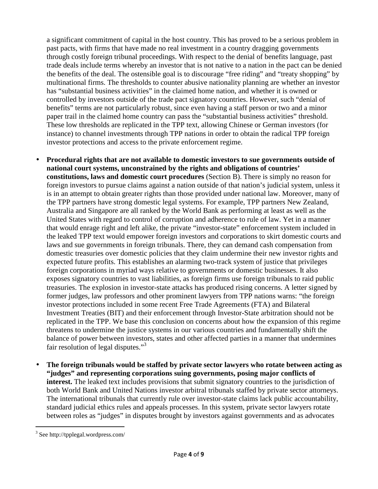a significant commitment of capital in the host country. This has proved to be a serious problem in past pacts, with firms that have made no real investment in a country dragging governments through costly foreign tribunal proceedings. With respect to the denial of benefits language, past trade deals include terms whereby an investor that is not native to a nation in the pact can be denied the benefits of the deal. The ostensible goal is to discourage "free riding" and "treaty shopping" by multinational firms. The thresholds to counter abusive nationality planning are whether an investor has "substantial business activities" in the claimed home nation, and whether it is owned or controlled by investors outside of the trade pact signatory countries. However, such "denial of benefits" terms are not particularly robust, since even having a staff person or two and a minor paper trail in the claimed home country can pass the "substantial business activities" threshold. These low thresholds are replicated in the TPP text, allowing Chinese or German investors (for instance) to channel investments through TPP nations in order to obtain the radical TPP foreign investor protections and access to the private enforcement regime.

- **Procedural rights that are not available to domestic investors to sue governments outside of national court systems, unconstrained by the rights and obligations of countries' constitutions, laws and domestic court procedures** (Section B). There is simply no reason for foreign investors to pursue claims against a nation outside of that nation's judicial system, unless it is in an attempt to obtain greater rights than those provided under national law. Moreover, many of the TPP partners have strong domestic legal systems. For example, TPP partners New Zealand, Australia and Singapore are all ranked by the World Bank as performing at least as well as the United States with regard to control of corruption and adherence to rule of law. Yet in a manner that would enrage right and left alike, the private "investor-state" enforcement system included in the leaked TPP text would empower foreign investors and corporations to skirt domestic courts and laws and sue governments in foreign tribunals. There, they can demand cash compensation from domestic treasuries over domestic policies that they claim undermine their new investor rights and expected future profits. This establishes an alarming two-track system of justice that privileges foreign corporations in myriad ways relative to governments or domestic businesses. It also exposes signatory countries to vast liabilities, as foreign firms use foreign tribunals to raid public treasuries. The explosion in investor-state attacks has produced rising concerns. A letter signed by former judges, law professors and other prominent lawyers from TPP nations warns: "the foreign investor protections included in some recent Free Trade Agreements (FTA) and Bilateral Investment Treaties (BIT) and their enforcement through Investor-State arbitration should not be replicated in the TPP. We base this conclusion on concerns about how the expansion of this regime threatens to undermine the justice systems in our various countries and fundamentally shift the balance of power between investors, states and other affected parties in a manner that undermines fair resolution of legal disputes."<sup>3</sup>
- **The foreign tribunals would be staffed by private sector lawyers who rotate between acting as "judges" and representing corporations suing governments, posing major conflicts of interest.** The leaked text includes provisions that submit signatory countries to the jurisdiction of both World Bank and United Nations investor arbitral tribunals staffed by private sector attorneys. The international tribunals that currently rule over investor-state claims lack public accountability, standard judicial ethics rules and appeals processes. In this system, private sector lawyers rotate between roles as "judges" in disputes brought by investors against governments and as advocates

<sup>&</sup>lt;sup>3</sup> See http://tpplegal.wordpress.com/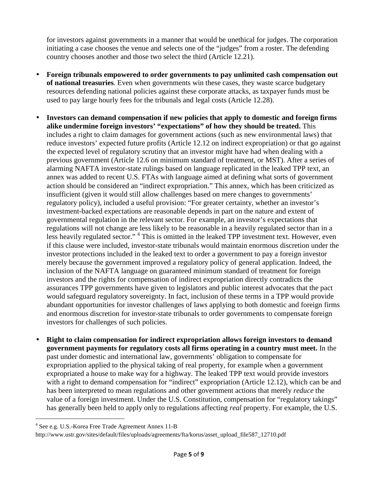for investors against governments in a manner that would be unethical for judges. The corporation initiating a case chooses the venue and selects one of the "judges" from a roster. The defending country chooses another and those two select the third (Article 12.21).

- **Foreign tribunals empowered to order governments to pay unlimited cash compensation out of national treasuries**. Even when governments win these cases, they waste scarce budgetary resources defending national policies against these corporate attacks, as taxpayer funds must be used to pay large hourly fees for the tribunals and legal costs (Article 12.28).
- **Investors can demand compensation if new policies that apply to domestic and foreign firms alike undermine foreign investors' "expectations" of how they should be treated.** This includes a right to claim damages for government actions (such as new environmental laws) that reduce investors' expected future profits (Article 12.12 on indirect expropriation) or that go against the expected level of regulatory scrutiny that an investor might have had when dealing with a previous government (Article 12.6 on minimum standard of treatment, or MST). After a series of alarming NAFTA investor-state rulings based on language replicated in the leaked TPP text, an annex was added to recent U.S. FTAs with language aimed at defining what sorts of government action should be considered an "indirect expropriation." This annex, which has been criticized as insufficient (given it would still allow challenges based on mere changes to governments' regulatory policy), included a useful provision: "For greater certainty, whether an investor's investment-backed expectations are reasonable depends in part on the nature and extent of governmental regulation in the relevant sector. For example, an investor's expectations that regulations will not change are less likely to be reasonable in a heavily regulated sector than in a less heavily regulated sector."<sup>4</sup> This is omitted in the leaked TPP investment text. However, even if this clause were included, investor-state tribunals would maintain enormous discretion under the investor protections included in the leaked text to order a government to pay a foreign investor merely because the government improved a regulatory policy of general application. Indeed, the inclusion of the NAFTA language on guaranteed minimum standard of treatment for foreign investors and the rights for compensation of indirect expropriation directly contradicts the assurances TPP governments have given to legislators and public interest advocates that the pact would safeguard regulatory sovereignty. In fact, inclusion of these terms in a TPP would provide abundant opportunities for investor challenges of laws applying to both domestic and foreign firms and enormous discretion for investor-state tribunals to order governments to compensate foreign investors for challenges of such policies.
- **Right to claim compensation for indirect expropriation allows foreign investors to demand government payments for regulatory costs all firms operating in a country must meet.** In the past under domestic and international law, governments' obligation to compensate for expropriation applied to the physical taking of real property, for example when a government expropriated a house to make way for a highway. The leaked TPP text would provide investors with a right to demand compensation for "indirect" expropriation (Article 12.12), which can be and has been interpreted to mean regulations and other government actions that merely *reduce* the value of a foreign investment. Under the U.S. Constitution, compensation for "regulatory takings" has generally been held to apply only to regulations affecting *real* property. For example, the U.S.

<sup>4</sup> See e.g. U.S.-Korea Free Trade Agreement Annex 11-B

http://www.ustr.gov/sites/default/files/uploads/agreements/fta/korus/asset\_upload\_file587\_12710.pdf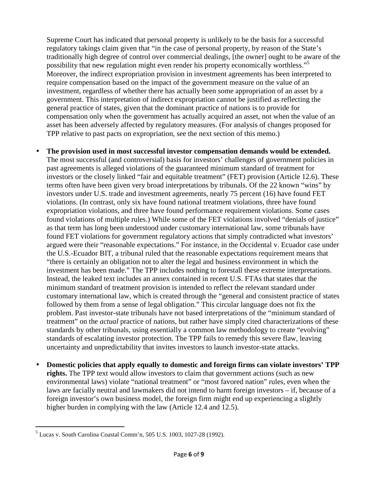Supreme Court has indicated that personal property is unlikely to be the basis for a successful regulatory takings claim given that "in the case of personal property, by reason of the State's traditionally high degree of control over commercial dealings, [the owner] ought to be aware of the possibility that new regulation might even render his property economically worthless."<sup>5</sup> Moreover, the indirect expropriation provision in investment agreements has been interpreted to require compensation based on the impact of the government measure on the value of an investment, regardless of whether there has actually been some appropriation of an asset by a government. This interpretation of indirect expropriation cannot be justified as reflecting the general practice of states, given that the dominant practice of nations is to provide for compensation only when the government has actually acquired an asset, not when the value of an asset has been adversely affected by regulatory measures. (For analysis of changes proposed for TPP relative to past pacts on expropriation, see the next section of this memo.)

• **The provision used in most successful investor compensation demands would be extended.** 

The most successful (and controversial) basis for investors' challenges of government policies in past agreements is alleged violations of the guaranteed minimum standard of treatment for investors or the closely linked "fair and equitable treatment" (FET) provision (Article 12.6). These terms often have been given very broad interpretations by tribunals. Of the 22 known "wins" by investors under U.S. trade and investment agreements, nearly 75 percent (16) have found FET violations. (In contrast, only six have found national treatment violations, three have found expropriation violations, and three have found performance requirement violations. Some cases found violations of multiple rules.) While some of the FET violations involved "denials of justice" as that term has long been understood under customary international law, some tribunals have found FET violations for government regulatory actions that simply contradicted what investors' argued were their "reasonable expectations." For instance, in the Occidental v. Ecuador case under the U.S.-Ecuador BIT, a tribunal ruled that the reasonable expectations requirement means that "there is certainly an obligation not to alter the legal and business environment in which the investment has been made." The TPP includes nothing to forestall these extreme interpretations. Instead, the leaked text includes an annex contained in recent U.S. FTAs that states that the minimum standard of treatment provision is intended to reflect the relevant standard under customary international law, which is created through the "general and consistent practice of states followed by them from a sense of legal obligation." This circular language does not fix the problem. Past investor-state tribunals have not based interpretations of the "minimum standard of treatment" on the *actual* practice of nations, but rather have simply cited characterizations of these standards by other tribunals, using essentially a common law methodology to create "evolving" standards of escalating investor protection. The TPP fails to remedy this severe flaw, leaving uncertainty and unpredictability that invites investors to launch investor-state attacks.

• **Domestic policies that apply equally to domestic and foreign firms can violate investors' TPP rights.** The TPP text would allow investors to claim that government actions (such as new environmental laws) violate "national treatment" or "most favored nation" rules, even when the laws are facially neutral and lawmakers did not intend to harm foreign investors – if, because of a foreign investor's own business model, the foreign firm might end up experiencing a slightly higher burden in complying with the law (Article 12.4 and 12.5).

<sup>5</sup> Lucas v. South Carolina Coastal Comm'n, 505 U.S. 1003, 1027-28 (1992).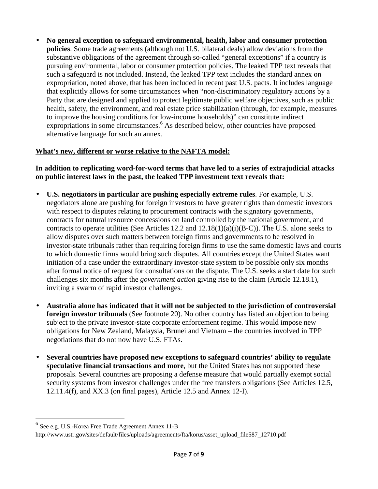• **No general exception to safeguard environmental, health, labor and consumer protection policies**. Some trade agreements (although not U.S. bilateral deals) allow deviations from the substantive obligations of the agreement through so-called "general exceptions" if a country is pursuing environmental, labor or consumer protection policies. The leaked TPP text reveals that such a safeguard is not included. Instead, the leaked TPP text includes the standard annex on expropriation, noted above, that has been included in recent past U.S. pacts. It includes language that explicitly allows for some circumstances when "non-discriminatory regulatory actions by a Party that are designed and applied to protect legitimate public welfare objectives, such as public health, safety, the environment, and real estate price stabilization (through, for example, measures to improve the housing conditions for low-income households)" can constitute indirect expropriations in some circumstances.<sup>6</sup> As described below, other countries have proposed alternative language for such an annex.

## **What's new, different or worse relative to the NAFTA model:**

## **In addition to replicating word-for-word terms that have led to a series of extrajudicial attacks on public interest laws in the past, the leaked TPP investment text reveals that:**

- **U.S. negotiators in particular are pushing especially extreme rules**. For example, U.S. negotiators alone are pushing for foreign investors to have greater rights than domestic investors with respect to disputes relating to procurement contracts with the signatory governments, contracts for natural resource concessions on land controlled by the national government, and contracts to operate utilities (See Articles 12.2 and  $12.18(1)(a)(i)(B-C)$ ). The U.S. alone seeks to allow disputes over such matters between foreign firms and governments to be resolved in investor-state tribunals rather than requiring foreign firms to use the same domestic laws and courts to which domestic firms would bring such disputes. All countries except the United States want initiation of a case under the extraordinary investor-state system to be possible only six months after formal notice of request for consultations on the dispute. The U.S. seeks a start date for such challenges six months after the *government action* giving rise to the claim (Article 12.18.1), inviting a swarm of rapid investor challenges.
- **Australia alone has indicated that it will not be subjected to the jurisdiction of controversial foreign investor tribunals** (See footnote 20). No other country has listed an objection to being subject to the private investor-state corporate enforcement regime. This would impose new obligations for New Zealand, Malaysia, Brunei and Vietnam – the countries involved in TPP negotiations that do not now have U.S. FTAs.
- **Several countries have proposed new exceptions to safeguard countries' ability to regulate speculative financial transactions and more**, but the United States has not supported these proposals. Several countries are proposing a defense measure that would partially exempt social security systems from investor challenges under the free transfers obligations (See Articles 12.5, 12.11.4(f), and XX.3 (on final pages), Article 12.5 and Annex 12-I).

 6 See e.g. U.S.-Korea Free Trade Agreement Annex 11-B

http://www.ustr.gov/sites/default/files/uploads/agreements/fta/korus/asset\_upload\_file587\_12710.pdf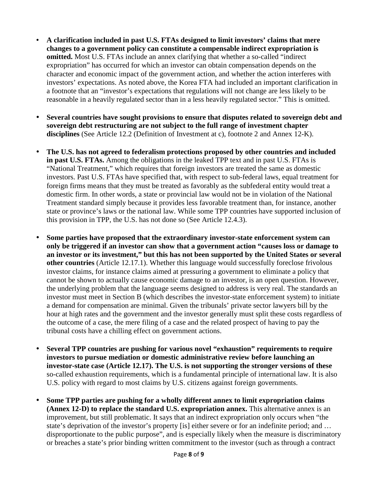- **A clarification included in past U.S. FTAs designed to limit investors' claims that mere changes to a government policy can constitute a compensable indirect expropriation is omitted.** Most U.S. FTAs include an annex clarifying that whether a so-called "indirect expropriation" has occurred for which an investor can obtain compensation depends on the character and economic impact of the government action, and whether the action interferes with investors' expectations. As noted above, the Korea FTA had included an important clarification in a footnote that an "investor's expectations that regulations will not change are less likely to be reasonable in a heavily regulated sector than in a less heavily regulated sector." This is omitted.
- **Several countries have sought provisions to ensure that disputes related to sovereign debt and sovereign debt restructuring are not subject to the full range of investment chapter disciplines** (See Article 12.2 (Definition of Investment at c), footnote 2 and Annex 12-K).
- **The U.S. has not agreed to federalism protections proposed by other countries and included in past U.S. FTAs.** Among the obligations in the leaked TPP text and in past U.S. FTAs is "National Treatment," which requires that foreign investors are treated the same as domestic investors. Past U.S. FTAs have specified that, with respect to sub-federal laws, equal treatment for foreign firms means that they must be treated as favorably as the subfederal entity would treat a domestic firm. In other words, a state or provincial law would not be in violation of the National Treatment standard simply because it provides less favorable treatment than, for instance, another state or province's laws or the national law. While some TPP countries have supported inclusion of this provision in TPP, the U.S. has not done so (See Article 12.4.3).
- **Some parties have proposed that the extraordinary investor-state enforcement system can only be triggered if an investor can show that a government action "causes loss or damage to an investor or its investment," but this has not been supported by the United States or several other countries** (Article 12.17.1). Whether this language would successfully foreclose frivolous investor claims, for instance claims aimed at pressuring a government to eliminate a policy that cannot be shown to actually cause economic damage to an investor, is an open question. However, the underlying problem that the language seems designed to address is very real. The standards an investor must meet in Section B (which describes the investor-state enforcement system) to initiate a demand for compensation are minimal. Given the tribunals' private sector lawyers bill by the hour at high rates and the government and the investor generally must split these costs regardless of the outcome of a case, the mere filing of a case and the related prospect of having to pay the tribunal costs have a chilling effect on government actions.
- **Several TPP countries are pushing for various novel "exhaustion" requirements to require investors to pursue mediation or domestic administrative review before launching an investor-state case (Article 12.17). The U.S. is not supporting the stronger versions of these**  so-called exhaustion requirements, which is a fundamental principle of international law. It is also U.S. policy with regard to most claims by U.S. citizens against foreign governments.
- **Some TPP parties are pushing for a wholly different annex to limit expropriation claims (Annex 12-D) to replace the standard U.S. expropriation annex.** This alternative annex is an improvement, but still problematic. It says that an indirect expropriation only occurs when "the state's deprivation of the investor's property [is] either severe or for an indefinite period; and … disproportionate to the public purpose", and is especially likely when the measure is discriminatory or breaches a state's prior binding written commitment to the investor (such as through a contract